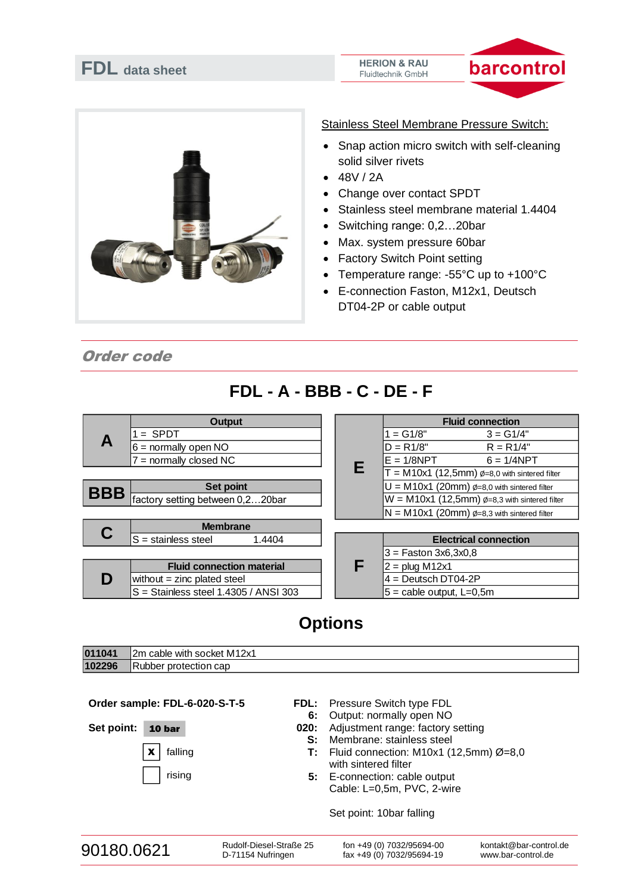### **FDL data sheet**





• Snap action micro switch with self-cleaning

Stainless Steel Membrane Pressure Switch:

 $• 48V / 2A$ 

solid silver rivets

- Change over contact SPDT
- Stainless steel membrane material 1.4404
- Switching range: 0,2…20bar
- Max. system pressure 60bar
- **Factory Switch Point setting**
- Temperature range: -55°C up to +100°C
- E-connection Faston, M12x1, Deutsch DT04-2P or cable output

Order code

# **FDL - A - BBB - C - DE - F**

|            | <b>Output</b>                                                                                                |  |   | <b>Fluid connection</b>                                     |                              |  |
|------------|--------------------------------------------------------------------------------------------------------------|--|---|-------------------------------------------------------------|------------------------------|--|
|            | $=$ SPDT                                                                                                     |  |   | $1 = G1/8"$                                                 | $3 = G1/4"$                  |  |
|            | $6 =$ normally open NO<br>= normally closed NC                                                               |  |   | $D = R1/8"$                                                 | $R = R1/4"$                  |  |
|            |                                                                                                              |  |   | $E = 1/8NPT$                                                | $6 = 1/4$ NPT                |  |
|            |                                                                                                              |  | Е | $T = M10x1$ (12,5mm) $\emptyset = 8.0$ with sintered filter |                              |  |
| <b>BBB</b> | Set point                                                                                                    |  |   | $U = M10x1$ (20mm) $\phi = 8.0$ with sintered filter        |                              |  |
|            | factory setting between 0,220bar                                                                             |  |   | $W = M10x1$ (12,5mm) $\phi$ =8,3 with sintered filter       |                              |  |
|            |                                                                                                              |  |   | $N = M10x1$ (20mm) $\phi = 8.3$ with sintered filter        |                              |  |
|            | <b>Membrane</b>                                                                                              |  |   |                                                             |                              |  |
|            | $S =$ stainless steel<br>1.4404                                                                              |  |   |                                                             | <b>Electrical connection</b> |  |
|            |                                                                                                              |  |   | $3 =$ Faston 3x6,3x0,8                                      |                              |  |
|            | <b>Fluid connection material</b><br>without $=$ zinc plated steel<br>$S =$ Stainless steel 1.4305 / ANSI 303 |  | E | $2 =$ plug M12x1                                            |                              |  |
| D          |                                                                                                              |  |   | $4 =$ Deutsch DT04-2P                                       |                              |  |
|            |                                                                                                              |  |   | $5 =$ cable output, L=0,5m                                  |                              |  |

## **Options**

| 011041 | with socket M12x1<br>2m<br>cable |
|--------|----------------------------------|
| 102296 | IR<br>Rubber protection cap      |

**Order sample: FDL-6-020-S-T-5**

 $\mathbf{x}$  falling

rising

Set point: **10 bar** 

**FDL:** Pressure Switch type FDL

- **6:** Output: normally open NO
- **020:** Adjustment range: factory setting
	- **S:** Membrane: stainless steel
	- **T:** Fluid connection: M10x1 (12,5mm) Ø=8,0 with sintered filter
	- **5:** E-connection: cable output Cable: L=0,5m, PVC, 2-wire

Set point: 10bar falling

| 90180.0621 | Rudolf-Diesel-Straße 25 | fon +49 (0) 7032/95694-00 | kontakt@bar-control.de |
|------------|-------------------------|---------------------------|------------------------|
|            | D-71154 Nufringen       | fax +49 (0) 7032/95694-19 | www.bar-control.de     |